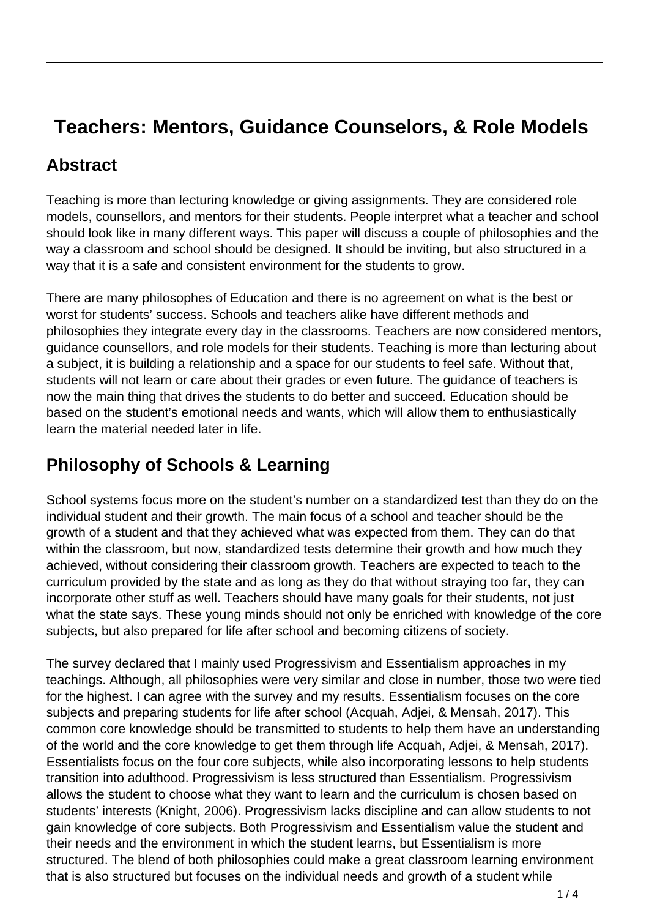## **Teachers: Mentors, Guidance Counselors, & Role Models**

#### **Abstract**

Teaching is more than lecturing knowledge or giving assignments. They are considered role models, counsellors, and mentors for their students. People interpret what a teacher and school should look like in many different ways. This paper will discuss a couple of philosophies and the way a classroom and school should be designed. It should be inviting, but also structured in a way that it is a safe and consistent environment for the students to grow.

There are many philosophes of Education and there is no agreement on what is the best or worst for students' success. Schools and teachers alike have different methods and philosophies they integrate every day in the classrooms. Teachers are now considered mentors, guidance counsellors, and role models for their students. Teaching is more than lecturing about a subject, it is building a relationship and a space for our students to feel safe. Without that, students will not learn or care about their grades or even future. The guidance of teachers is now the main thing that drives the students to do better and succeed. Education should be based on the student's emotional needs and wants, which will allow them to enthusiastically learn the material needed later in life.

#### **Philosophy of Schools & Learning**

School systems focus more on the student's number on a standardized test than they do on the individual student and their growth. The main focus of a school and teacher should be the growth of a student and that they achieved what was expected from them. They can do that within the classroom, but now, standardized tests determine their growth and how much they achieved, without considering their classroom growth. Teachers are expected to teach to the curriculum provided by the state and as long as they do that without straying too far, they can incorporate other stuff as well. Teachers should have many goals for their students, not just what the state says. These young minds should not only be enriched with knowledge of the core subjects, but also prepared for life after school and becoming citizens of society.

The survey declared that I mainly used Progressivism and Essentialism approaches in my teachings. Although, all philosophies were very similar and close in number, those two were tied for the highest. I can agree with the survey and my results. Essentialism focuses on the core subjects and preparing students for life after school (Acquah, Adjei, & Mensah, 2017). This common core knowledge should be transmitted to students to help them have an understanding of the world and the core knowledge to get them through life Acquah, Adjei, & Mensah, 2017). Essentialists focus on the four core subjects, while also incorporating lessons to help students transition into adulthood. Progressivism is less structured than Essentialism. Progressivism allows the student to choose what they want to learn and the curriculum is chosen based on students' interests (Knight, 2006). Progressivism lacks discipline and can allow students to not gain knowledge of core subjects. Both Progressivism and Essentialism value the student and their needs and the environment in which the student learns, but Essentialism is more structured. The blend of both philosophies could make a great classroom learning environment that is also structured but focuses on the individual needs and growth of a student while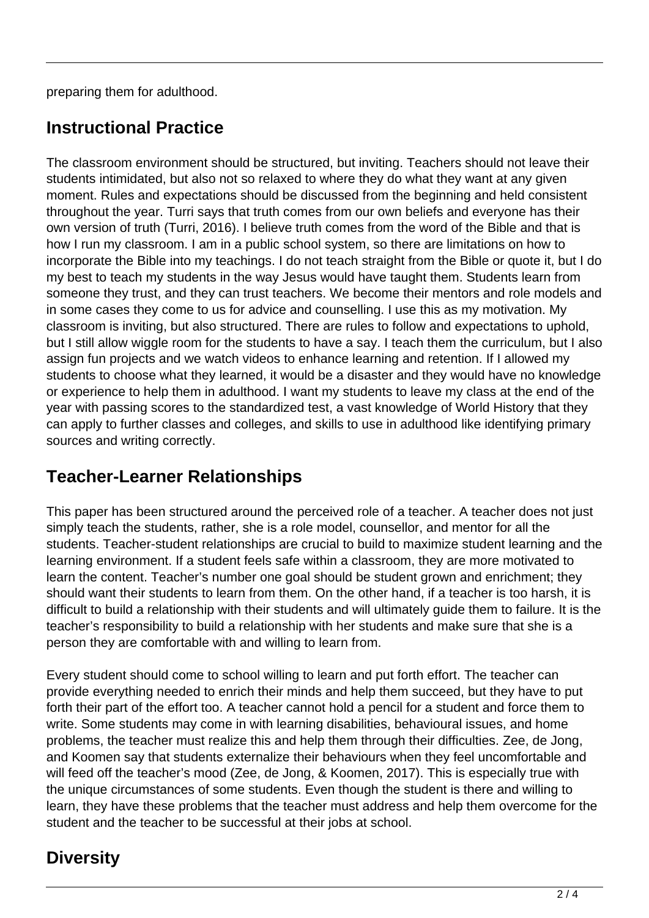preparing them for adulthood.

#### **Instructional Practice**

The classroom environment should be structured, but inviting. Teachers should not leave their students intimidated, but also not so relaxed to where they do what they want at any given moment. Rules and expectations should be discussed from the beginning and held consistent throughout the year. Turri says that truth comes from our own beliefs and everyone has their own version of truth (Turri, 2016). I believe truth comes from the word of the Bible and that is how I run my classroom. I am in a public school system, so there are limitations on how to incorporate the Bible into my teachings. I do not teach straight from the Bible or quote it, but I do my best to teach my students in the way Jesus would have taught them. Students learn from someone they trust, and they can trust teachers. We become their mentors and role models and in some cases they come to us for advice and counselling. I use this as my motivation. My classroom is inviting, but also structured. There are rules to follow and expectations to uphold, but I still allow wiggle room for the students to have a say. I teach them the curriculum, but I also assign fun projects and we watch videos to enhance learning and retention. If I allowed my students to choose what they learned, it would be a disaster and they would have no knowledge or experience to help them in adulthood. I want my students to leave my class at the end of the year with passing scores to the standardized test, a vast knowledge of World History that they can apply to further classes and colleges, and skills to use in adulthood like identifying primary sources and writing correctly.

#### **Teacher-Learner Relationships**

This paper has been structured around the perceived role of a teacher. A teacher does not just simply teach the students, rather, she is a role model, counsellor, and mentor for all the students. Teacher-student relationships are crucial to build to maximize student learning and the learning environment. If a student feels safe within a classroom, they are more motivated to learn the content. Teacher's number one goal should be student grown and enrichment; they should want their students to learn from them. On the other hand, if a teacher is too harsh, it is difficult to build a relationship with their students and will ultimately guide them to failure. It is the teacher's responsibility to build a relationship with her students and make sure that she is a person they are comfortable with and willing to learn from.

Every student should come to school willing to learn and put forth effort. The teacher can provide everything needed to enrich their minds and help them succeed, but they have to put forth their part of the effort too. A teacher cannot hold a pencil for a student and force them to write. Some students may come in with learning disabilities, behavioural issues, and home problems, the teacher must realize this and help them through their difficulties. Zee, de Jong, and Koomen say that students externalize their behaviours when they feel uncomfortable and will feed off the teacher's mood (Zee, de Jong, & Koomen, 2017). This is especially true with the unique circumstances of some students. Even though the student is there and willing to learn, they have these problems that the teacher must address and help them overcome for the student and the teacher to be successful at their jobs at school.

## **Diversity**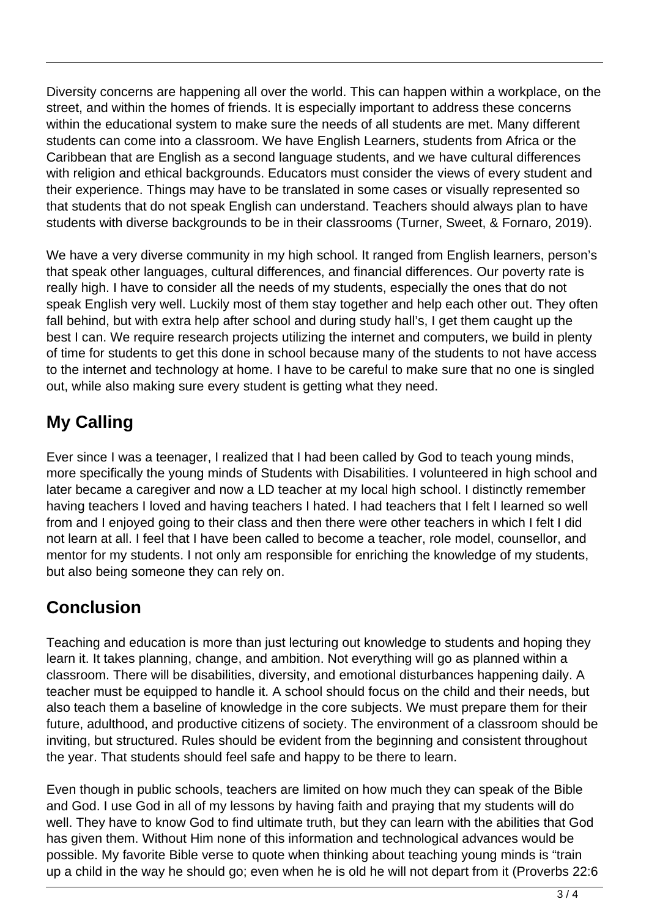Diversity concerns are happening all over the world. This can happen within a workplace, on the street, and within the homes of friends. It is especially important to address these concerns within the educational system to make sure the needs of all students are met. Many different students can come into a classroom. We have English Learners, students from Africa or the Caribbean that are English as a second language students, and we have cultural differences with religion and ethical backgrounds. Educators must consider the views of every student and their experience. Things may have to be translated in some cases or visually represented so that students that do not speak English can understand. Teachers should always plan to have students with diverse backgrounds to be in their classrooms (Turner, Sweet, & Fornaro, 2019).

We have a very diverse community in my high school. It ranged from English learners, person's that speak other languages, cultural differences, and financial differences. Our poverty rate is really high. I have to consider all the needs of my students, especially the ones that do not speak English very well. Luckily most of them stay together and help each other out. They often fall behind, but with extra help after school and during study hall's, I get them caught up the best I can. We require research projects utilizing the internet and computers, we build in plenty of time for students to get this done in school because many of the students to not have access to the internet and technology at home. I have to be careful to make sure that no one is singled out, while also making sure every student is getting what they need.

# **My Calling**

Ever since I was a teenager, I realized that I had been called by God to teach young minds, more specifically the young minds of Students with Disabilities. I volunteered in high school and later became a caregiver and now a LD teacher at my local high school. I distinctly remember having teachers I loved and having teachers I hated. I had teachers that I felt I learned so well from and I enjoyed going to their class and then there were other teachers in which I felt I did not learn at all. I feel that I have been called to become a teacher, role model, counsellor, and mentor for my students. I not only am responsible for enriching the knowledge of my students, but also being someone they can rely on.

## **Conclusion**

Teaching and education is more than just lecturing out knowledge to students and hoping they learn it. It takes planning, change, and ambition. Not everything will go as planned within a classroom. There will be disabilities, diversity, and emotional disturbances happening daily. A teacher must be equipped to handle it. A school should focus on the child and their needs, but also teach them a baseline of knowledge in the core subjects. We must prepare them for their future, adulthood, and productive citizens of society. The environment of a classroom should be inviting, but structured. Rules should be evident from the beginning and consistent throughout the year. That students should feel safe and happy to be there to learn.

Even though in public schools, teachers are limited on how much they can speak of the Bible and God. I use God in all of my lessons by having faith and praying that my students will do well. They have to know God to find ultimate truth, but they can learn with the abilities that God has given them. Without Him none of this information and technological advances would be possible. My favorite Bible verse to quote when thinking about teaching young minds is "train up a child in the way he should go; even when he is old he will not depart from it (Proverbs 22:6